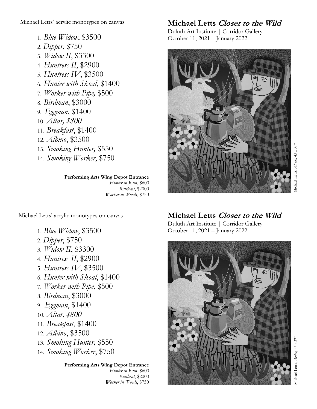Michael Letts' acrylic monotypes on canvas

1. *Blue Widow*, \$3500 2. *Dipper*, \$750 3. *Widow II*, \$3300 4. *Huntress II*, \$2900 5. *Huntress IV*, \$3500 6. *Hunter with Skoal*, \$1400 7. *Worker with Pipe,* \$500 8. *Birdman*, \$3000 9. *Eggman*, \$1400 10. *Altar, \$800*  11. *Breakfast*, \$1400 12. *Albino*, \$3500 13. *Smoking Hunter,* \$550 14. *Smoking Worker*, \$750

> **Performing Arts Wing Depot Entrance**  *Hunter in Rain*, \$600 *Rattlecat*, \$2000 *Worker in Woods*, \$750

Michael Letts' acrylic monotypes on canvas

- 1. *Blue Widow*, \$3500
- 2. *Dipper*, \$750
- 3. *Widow II*, \$3300
- 4. *Huntress II*, \$2900
- 5. *Huntress IV*, \$3500
- 6. *Hunter with Skoal*, \$1400
- 7. *Worker with Pipe,* \$500
- 8. *Birdman*, \$3000
- 9. *Eggman*, \$1400
- 10. *Altar, \$800*
- 11. *Breakfast*, \$1400
- 12. *Albino*, \$3500
- 13. *Smoking Hunter,* \$550
- 14. *Smoking Worker*, \$750

## **Performing Arts Wing Depot Entrance**

 *Hunter in Rain*, \$600 *Rattlecat*, \$2000 *Worker in Woods*, \$750

## **Michael Letts Closer to the Wild**

Duluth Art Institute | Corridor Gallery October 11, 2021 – January 2022



## Michael Letts, *Albino,* 43 x 37" Aichael Letts, Albino, 43 x 37

## **Michael Letts Closer to the Wild**

Duluth Art Institute | Corridor Gallery October 11, 2021 – January 2022



Michael Letts, *Albino,* 43 x 37"Michael Letts, Albino, 43 x 37